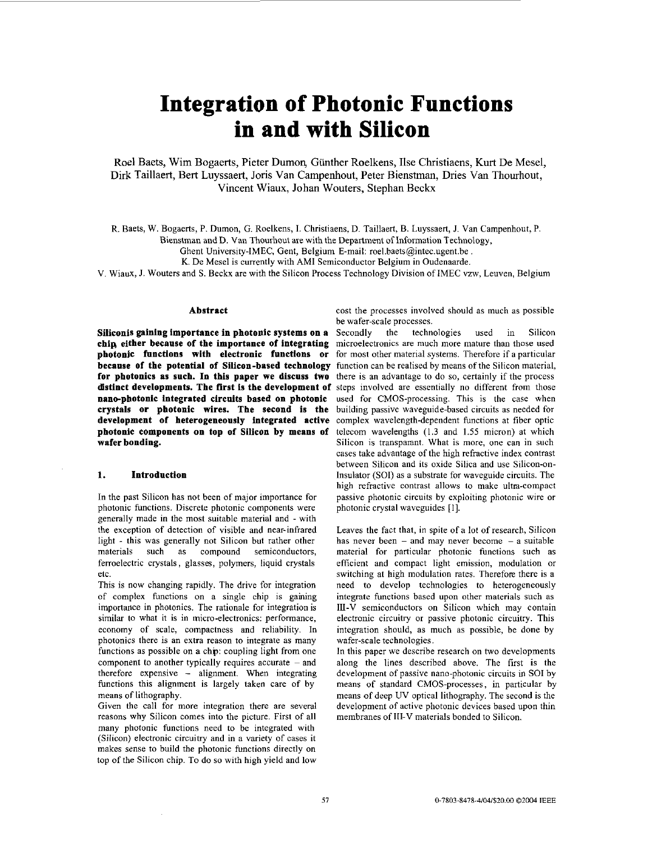# **Integration of Photonic Functions in and with Silicon**

Roe1 Baets, Wim Bogaerts, Pieter Dumon, Giinther Roelkens, Ilse Christiaens, Kurt De Mesel, Dirk Taillaert, Bert Luyssaert, Joris Van Campenhout, Peter Bienstman, Dries Van Thourhout, Vincent Wiaux, Johan Wouters, Stephan Beck

R. Baets, W. Bogaerts, **P.** Dumon, G. Roelkens, **I.** Christiaens, D. Taillaert, B. Luyssaert, J. Van Campenhout, P.

Bienstman and D. Van Thourhout are with the Department of Information Technology,

Ghent University-IMEC, Gent, Belgium E-mail: roel.baets@intec.ugent.be .

K. De Mesel is currently with AMI Semiconductor Belgium in Oudenaarde.

V. Wiaux, J. Wouters and **S.** Beckx are with the Silicon Process Technology Division of IMEC vzw, Leuven, Belgium

**Siliconis gaining importance in photonic systems on a** Secondly the technologies used in Silicon **chin either because of the importance of integrating** microelectronics are much more mature than those used **photonic functions with electronic functions or** for most other material systems. Therefore if a particular **because of the potential of Silicon-based technology** function can be realised by means of the Silicon material, **for pbotonics as such. In this paper we discuss two** there is an advantage to do so, certainly if the process **distinct developments. The first is the development of** steps involved are essentially no different from those **nano-photonic integrated circuits based on photonic** used for CMOS-processing. This is the case when nano-photonic integrated circuits based on photonic **crystals or pbotonic wires. The second is the** building passive waveguide-based circuits as needed for **development of heterogeneously integrated active** complex wavelength-dependent functions at fiber optic **photonic components on top of Silicon by means of** telecom wavelengths (1.3 and 1.55 micron) at which **wafer bonding.** 

# **1. Introduction**

In the past Silicon has not been of major importance for photonic functions. Discrete photonic components were generally made in the most suitable material and - with the exception of detection of visible and near-infrared light - this was generally not Silicon but rather other materials such as compound semiconductors, ferroelectric crystals, glasses, polymers, liquid crystals etc.

This is now changing rapidly. The drive for integration of complex functions on a single chip **is** gaming importance in photonics. The rationale for integration is similar to what it is in micro-electronics: performance, economy of scale, compactness and reliability. In photonics there is an extra reason to integrate as many functions as possible on **a** chp: coupling light from one component to another typically requires accurate  $-$  and therefore expensive - alignment. When integrating functions this alignment is largely taken care of by means of lithography.

Given the call for more integration there are several reasons why Silicon comes into the picture. First of all many photonic functions need to be integrated with (Silicon) electronic circuitry and in a variety of cases it makes sense to build the photonic functions directly on top of the Silicon chip. To do so with high yield and low

**Abstract cost the processes involved should as much as possible** be wafer-scale processes.

> Silicon is transparant. What is more, one can in such cases take advantage of the high refractive index contrast between Silicon and its oxide Silica and use Silicon-on-Insulator (Sol) as a substrate for waveguide circuits. The high refractive contrast allows to make ultra-compact passive photonic circuits by exploiting photonic wire or photonic crystal waveguides [I].

> Leaves the fact that, in spite of a lot of research, Silicon has never been  $-$  and may never become  $-$  a suitable material for particular photonic functions such as efficient and compact light emission, modulation or switching at high modulation rates. Therefore there is a need to develop technologies to heterogeneously integrate functions based upon other materials such as III-V semiconductors on Silicon which may contain electronic circuitry or passive photonic circuitry. This integration should, as much as possible, he done by wafer-scale technologies.

> In this paper we describe research on two developments along the lines described above. The first **is** the development of passive nano-photonic circuits in SO1 by means of standard CMOS-processes, in particular by means of deep UV optical lithography. The second is the development of active photonic devices based upon thin membranes of Ill-V materials bonded to Silicon.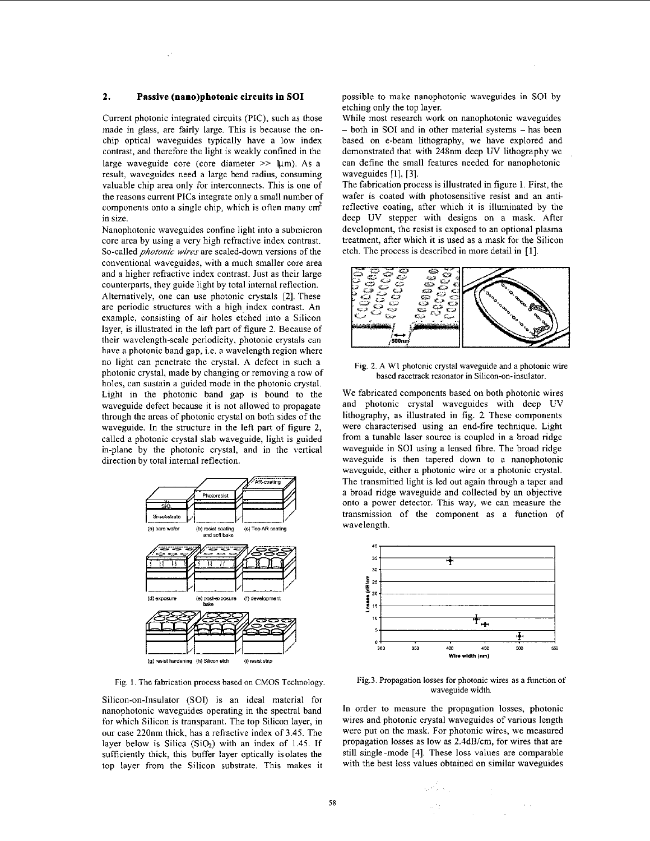# <span id="page-1-0"></span>**2.**

Current photonic integrated circuits (PIC), such as those made in glass, are fairly large. This is because the onchip optical waveguides typically have a low index contrast, and therefore the light is weakly confined in the large waveguide core (core diameter  $\gg$   $\mu$ m). As a result, waveguides need a large bend radius, consuming valuable chip area only for interconnects. This is one of the rcasons current PICs integrate only a small number of components onto a single chip, which is often many  $cm<sup>2</sup>$ in size.

Nanophotonic waveguides confine light into a submicron core area by using a very high refractive index contrast. So-called *phofonic wires* are scaled-down versions of the conventional waveguides, with a much smaller core area and a higher refractive index contrast. Just as their large counterparts, they guide light by total internal reflection. Alternatively, one can use photonic crystals [2]. These are periodic structures with a high index contrast. **An**  example, consisting of air holes etched into a Silicon layer, is illustrated in the left part of figure 2. Because of their wavelength-scale periodicity, photonic crystals can have a photonic band gap, i.e. a wavelength region where no light can penetrate the crystal. **A** defect in such a photonic crystal, made by changing or removing a row of holes, can sustain a guided mode in the photonic crystal. Light in the photonic hand gap is hound to the waveguide defect because it is not allowed to propagate through the areas of photonic crystal on both sides of the waveguide. In the structure in the left part of figure 2, called a photonic crystal slab waveguide, light is guided in-plane **by** the photonic crystal, and in the vertical direction by total internal reflection.



Fig. 1. The fabrication process based on CMOS Technology

Silicon-on-Insulator (SOI) is an ideal material for nanophotonic waveguides operating in the spectral hand for which Silicon is transparant. The top Silicon layer, in our case 220nm thick, has a refractive index of **3.45.** The layer below is Silica  $(SiO<sub>2</sub>)$  with an index of 1.45. If sufficiently thick, this buffer layer optically isolates the top layer from the Silicon substrate. This makes it

**Passive (nano)photonic circuits in SOI** possible to make nanophotonic waveguides in SOI by etching only the top layer.

> While most research work on nanophotonic waveguides - both in SOI and in other material systems - has been based on e-beam lithography, we have explored and demonstrated that with 248nm deep UV lithography we can define the small features needed for nanophotonic waveguides **[l], [3].**

> The fabrication process is illustrated in figure 1. First, the wafer is coated with photosensitive resist and an antireflective coating, after which it is illuminated by the deep UV stepper with designs on a mask. After development, the resist is exposed to an optional plasma treatment, after which it is used as a mask for the Silicon etch. The process is described in more detail in [ **11.**



**Fig. 2. A** WI photonic crystal waveguide and a photonic wire based racetrack resonator in Silicon-on-insulator.

We fabricated components based on both photonic wires and photonic crystal waveguides with deep UV lithography, as illustrated in fig. *2* These components were characterised using an end-fire technique. Light from a tunable laser source is coupled in a broad ridge waveguide in SO1 using a lensed fibre. The broad ridge waveguide is then tapered down to a nanophotonic waveguide, either a photonic wire or a photonic crystal. The transmitted light is led out again through a taper and a broad ridge waveguide and collected by an objective onto a power detector. This way, we can measure the transmission of the component as a function of wavelength.



Fig.3. Propagation losses for photonic wires **as** a fimction of waveguide width

In order to measure the propagation losses, photonic wires and photonic crystal waveguides of various length were put on the mask. For photonic wires, we measured propagation losses as low as 2.4dB/cm, for wires that are still single-mode [4]. These loss values are comparable with the best loss values obtained on similar waveguides

المناصب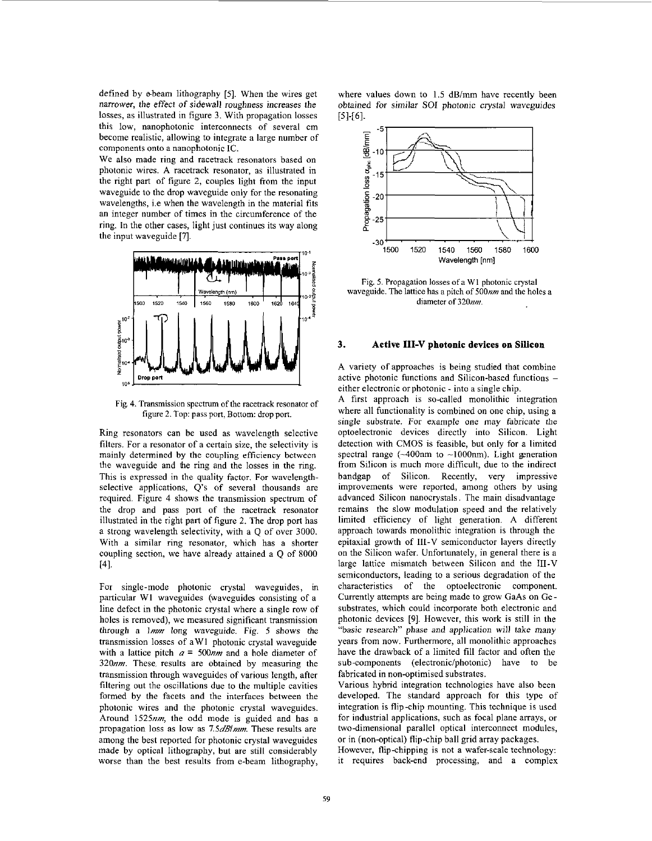defined by eheam lithography **[SI.** When the wires get narrower, the effect of sidewall roughness increases the losses, as illustrated in figure *3.* With propagation losses this low, nanophotonic interconnects of several cm become realistic, allowing to integrate a large number of components onto a nanophotonic **IC.** 

We also made ring and racetrack resonators based on photonic wires. A racetrack resonator, as illustrated in the right part of figure 2, couples light from the input waveguide to the drop waveguide only for the resonating wavelengths, i.e when the wavelength in the material fits an integer number of times in the circumference of the ring. In the other cases, light just continues its way along the input waveguide **[7].** 



Fig. 4. Transmission spectrum of the racetrack resonator of [figure](#page-1-0) 2. Top: pass port, Bottom: drop port.

Ring resonators can he used as wavelength selective filters. For a resonator of a certain size, the selectivity is mainly determined by the coupling efficiency between the waveguide and the ring and the losses in the ring. This is expressed in the quality factor. For wavelengthselective applications, Q's of several thousands are required. Figure **4** shows the transmission spectrum of the drop and pass port of the racetrack resonator illustrated in the right part of [figure 2.](#page-1-0) The drop port has a strong wavelength selectivity, with a Q of over 3000. With a similar ring resonator, which has a shorter coupling section, we have already attained a Q of 8000 **~41.** 

For single-mode photonic crystal waveguides, in particular W1 waveguides (waveguides consisting of a line defect in the photonic crystal where a single row of holes is removed), we measured significant transmission through a *Immr* long waveguide. Fig. *5* shows the transmission losses of aW1 photonic crystal waveguide with a lattice pitch  $a = 500nm$  and a hole diameter of *320nm.* These. results are obtained by measuring the transmission through waveguides of various length, after filtering out the oscillations due to the multiple cavities formed by the facets and the interfaces between the photonic wires and the photonic crystal waveguides. Around *1525nm,* the odd mode is guided and has a propagation **loss** as low as *ZSdBlmm.* These results are among the hest reported for photonic crystal waveguides made by optical lithography, but are still considerably worse than the best results from e-heam lithography,

where values down to 1.5 dB/mm have recently been obtained for similar SO1 photonic crystal waveguides [51-[61.



Fig. 5. Propagation losses of a W1 photonic crystal waveguide. The lattice has a pitch of *5OOnm* and the holes a diameter of *320nm.* 

### **3. Active 111-V photonic devices on Silicon**

A variety of approaches is being studied that combine active photonic functions and Silicon-based functions either electronic orphotonic - into a single chip.

A first approach is so-called monolithic integration where all functionality is combined on one chip, using a single substrate. For example one may fabricate **the**  optoelectronic devices directly into Silicon. Light detection with CMOS is feasible, but only for a limited spectral range  $(-400nm)$  to  $-1000nm$ ). Light generation from Silicon is much more difficult, due to the indirect handgap of Silicon. Recently, very impressive improvements were reported, among others by using advanced Silicon nanocrystals . The main disadvantage remains the slow modulation speed and the relatively limited efficiency of light generation. **A** different approach towards monolithic integration is through the epitaxial growth of **111-V** semiconductor layers directly on the Silicon wafer. Unfortunately, in general there is a large lattice mismatch between Silicon and the **111-V**  semiconductors, leading to a serious degradation of the characteristics of the optoelectronic component. Currently attempts are being made to grow GaAs on Gesubstrates, which could incorporate both electronic and photonic devices [9]. However, this work is still in the ''basic research" phase and application will take many years from now. Furthermore, all monolithic approaches have the drawback of a limited fill factor and often the sub-components (electronic/photonic) have to be fabricated in non-optimised substrates.

Various hybrid integration technologies have also been developed. The standard approach for this type of integration is flip-chip mounting. This technique is used for industrial applications, such as focal plane arrays, or two-dimensional parallel optical interconnect modules, or in (non-optical) flip-chip ball grid array packages.

However, flip-chipping is not a wafer-scale technology: it requires hack-end processing, and a complex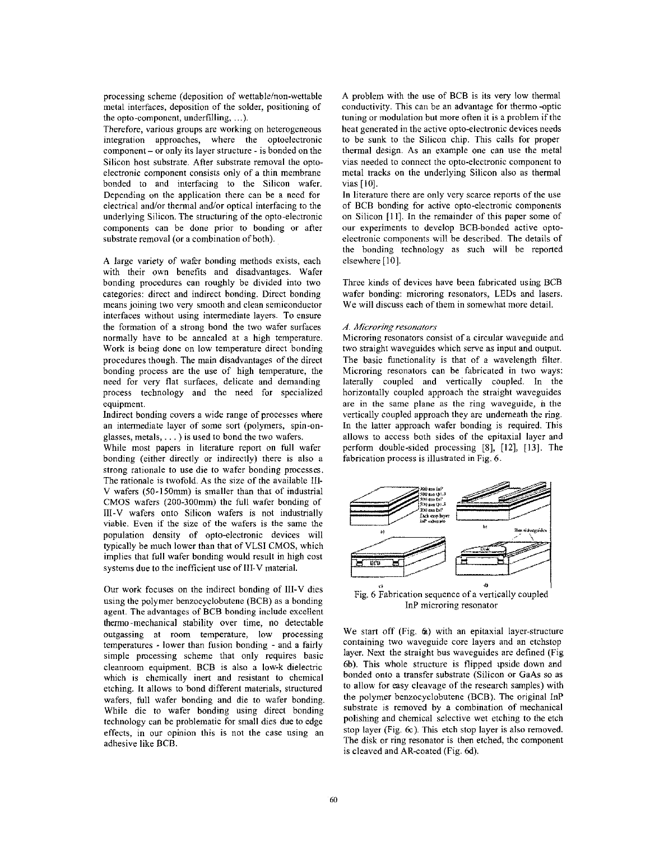processing scheme (deposition of wettable/non-wettable metal interfaces, deposition of the solder, positioning of the opto-component, underfilling, ...).

Therefore, various groups are working on heterogeneous integration approaches, where the optoelectronic component- or only its layer structure - is bonded on the Silicon host substrate. After substrate removal the optoelectronic component consists only of a thin membrane bonded to and interfacing to the Silicon wafer. Depending on the application there can be a need for electrical and/or thermal and/or optical interfacing to the underlying Silicon. The structuring of the opto-electronic components can be done prior to bonding or after substrate removal (or a combination of both).

**A** large variety of wafer bonding methods exists, each with their own benefits and disadvantages. Wafer bonding procedures can roughly be divided into two categories: direct and indirect bonding. Direct bonding means joining two very smooth and clean semiconductor interfaces without using intermediate layers. To ensure the formation of a strong bond the two wafer surfaces normally have to be annealed at a high temperature. Work is being done on low temperature direct bonding procedures though. The main disadvantages of the direct bonding process are the use of high temperature, the need for very flat surfaces, delicate and demanding process technology and the need for specialized equipment.

Indirect bonding covers a wide range of processes where an intermediate layer of some sort (polymers, spin-onglasses, metals, . . . ) is used to bond the two wafers.

While most papers in literature report on full wafer bonding (either directly or indirectly) there is also a strong rationale to **use** die to wafer bonding processes. The rationale is twofold. As the size of the available **111-**  V wafers (50-150mm) is smaller than that of industrial CMOS wafers (200-300mm) the full wafer bonding of 111-V wafers onto Silicon wafers is not industrially viable. Even if the size of the wafers is the same the population density of opto-electronic devices will typically be much lower than that of VLSI CMOS, which implies that full wafer bonding would result in high cost systems due to the inefficient use of **111-V** material.

Our work focuses on the indirect bonding of **111-V** dies using the polymer benzocyclobutene (BCB) as a bonding agent. The advantages of BCB bonding include excellent thermo -mechanical stability over time, no detectable outgassing at room temperature, low processing temperatures - lower than fusion bonding - and a fairly simple processing scheme that only requires basic cleanroom equipment. BCB is also a low-k dielectric which is chemically inert and resistant to chemical etching. It allows to bond different materials, structured wafers, full wafer bonding and die to wafer bonding. While die to wafer bonding using direct bonding technology can be problematic for small dies due to edge effects, in our opinion this is not the case using an adhesive like BCB.

A problem with the use of BCB is its very low thermal conductivity. This can be an advantage for thermo -optic tuning or modulation but more often it is a problem if the heat generated in the active opto-electronic devices needs to be sunk to the Silicon chip. This calls for proper thermal design. As an example one can use the metal vias needed to connect the opto-electronic component to metal tracks on the underlying Silicon also as thermal vias [IO].

In literature there are only very scarce reports of the use of BCB bonding for active opto-electronic components on Silicon **[ll].** In the remainder of this paper some of our experiments to develop BCB-bonded active optoelectronic components will be described. The details of the bonding technology as such will be reported elsewhere [IO].

Three kinds of devices have been fabricated using BCB wafer bonding: microring resonators, LEDs and lasers. We will discuss each of them in somewhat more detail.

## *A. Microring resonators*

Microring resonators consist of a circular waveguide and two straight waveguides which serve as input and output. The basic functionality is that of a wavelength filter. Microring resonators can be fabricated in two ways: laterally coupled and vertically coupled. In the horizontally coupled approach the straight waveguides are in the same plane as the ring waveguide, in the vertically coupled approach they are underneath the ring. In the latter approach wafer bonding is required. This allows to access both sides of the epitaxial layer and perform double-sided processing **[SI,** [12], [13]. The fabrication process is illustrated in Fig. 6.



Fig. 6 Fabrication sequence of a vertically coupled InP microring resonator

We start off (Fig. *6.)* with an epitaxial layer-structure containing two waveguide core layers and an etchstop layer. Next the straight bus waveguides are defined (Fig 6b). This whole structure is flipped upside down and bonded onto a transfer substrate (Silicon or GaAs so as to allow for easy cleavage of the research samples) with the polymer benzocyclobutene (BCB). The original InP substrate is removed by a combination of mechanical polishing and chemical selective wet etching to the etch stop layer (Fig. *6c).* This etch stop layer is also removed. The disk or ring resonator is then etched, the component is cleaved and AR-coated (Fig. *6d).*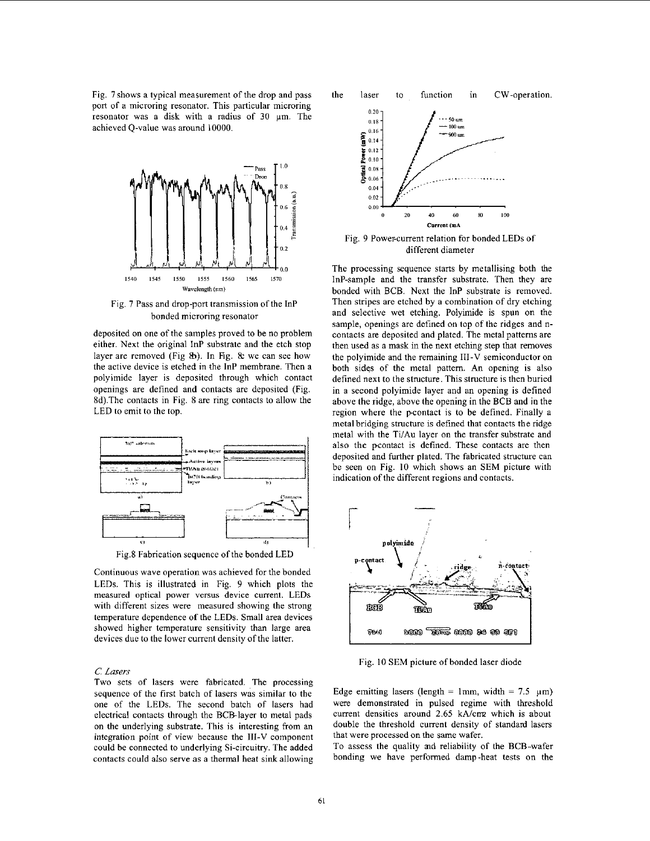Fig. **7** shows a typical measurement of the drop and pass port of a microring resonator. This particular microring resonator was a disk with a radius of 30 pm. The achieved Q-value was around 10000.



Fig. **7** Pass and drop-port transmission of the InP bonded microring resonator

deposited on one of the samples proved to be no problem either. Next the original InP substrate and the etch stop layer are removed (Fig %). In Fig. *8:* we can see how the active device is etched in the InP membrane. Then a polyimide layer is deposited through which contact openings are defined **and** contacts are deposited (Fig. 8d). The contacts in Fig. 8 are ring contacts to allow the LED to emit to the top.





Continuous wave operation was achieved for the bonded LEDs. This is illustrated in Fig. 9 which plots the measured optical power versus device current. LEDs with different sizes were measured showing the strong temperature dependence of the LEDs. Small area devices showed higher temperature sensitivity than large area devices due to the lower current density of the latter.

# *C Lasers*

Two sets of lasers were fabricated. The processing sequence of the first batch of lasers was similar to the one of the LEDs. The second batch of lasers had electrical contacts through the BCB-layer to metal pads on the underlying substrate. This is interesting from an integration point of view because the **111-V** component could be connected to underlying Si-circuitry. The added contacts could also serve as a thermal heat sink allowing



Fig. 9 Power-current relation for bonded LEDs of different diameter

The processing sequence starts by metallising both the InP-sample and the transfer substrate. Then they are bonded with BCB. Next the InP substrate is removed. Then stripes are etched by a combination of dry etching and selective wet etching. Polyimide **is** spun on the sample, openings are defined on top of the ridges and ncontacts are deposited and plated. The metal patterns are then used as a mask in the next etching step that removes the polyimide and the remaining 111-V semiconductor on both sides of the metal pattern. An opening is also defined next to the structure. This structure is then buried in a second polyimide layer and an opening is defined above the ridge, above the opening in the BCB and in the region where the pcontact is to be defined. Finally a metal bridging stmcture **is** defined that contacts the ridge metal with the Ti/Au layer on the transfer substrate and also the pcontact is defined. These contacts are then deposited and further plated. The fabricated structure can be seen on Fig. 10 which shows an **SEM** picture with indication of the different regions and contacts.



Fig. 10 SEM picture of bonded laser diode

Edge emitting lasers (length = 1mm, width =  $7.5 \mu m$ ) were demonstrated in pulsed regime with threshold current densities around 2.65 kA/cm which is about double the threshold current density of standard lasers that were processed on the same wafer.

To assess the quality md reliability of the BCB-wafer bonding we have performed damp-heat tests on the